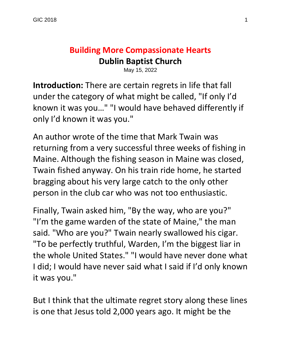# **Building More Compassionate Hearts Dublin Baptist Church**

May 15, 2022

**Introduction:** There are certain regrets in life that fall under the category of what might be called, "If only I'd known it was you…" "I would have behaved differently if only I'd known it was you."

An author wrote of the time that Mark Twain was returning from a very successful three weeks of fishing in Maine. Although the fishing season in Maine was closed, Twain fished anyway. On his train ride home, he started bragging about his very large catch to the only other person in the club car who was not too enthusiastic.

Finally, Twain asked him, "By the way, who are you?" "I'm the game warden of the state of Maine," the man said. "Who are you?" Twain nearly swallowed his cigar. "To be perfectly truthful, Warden, I'm the biggest liar in the whole United States." "I would have never done what I did; I would have never said what I said if I'd only known it was you."

But I think that the ultimate regret story along these lines is one that Jesus told 2,000 years ago. It might be the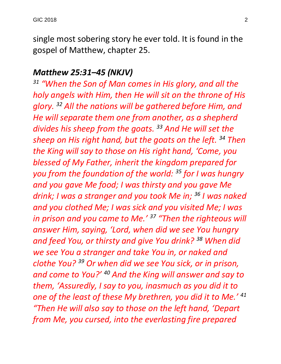single most sobering story he ever told. It is found in the gospel of Matthew, chapter 25.

#### *Matthew 25:31–45 (NKJV)*

*<sup>31</sup> "When the Son of Man comes in His glory, and all the holy angels with Him, then He will sit on the throne of His glory. <sup>32</sup> All the nations will be gathered before Him, and He will separate them one from another, as a shepherd divides his sheep from the goats. <sup>33</sup> And He will set the sheep on His right hand, but the goats on the left. <sup>34</sup> Then the King will say to those on His right hand, 'Come, you blessed of My Father, inherit the kingdom prepared for you from the foundation of the world: <sup>35</sup> for I was hungry and you gave Me food; I was thirsty and you gave Me drink; I was a stranger and you took Me in; <sup>36</sup> I was naked and you clothed Me; I was sick and you visited Me; I was in prison and you came to Me.' <sup>37</sup> "Then the righteous will answer Him, saying, 'Lord, when did we see You hungry and feed You, or thirsty and give You drink? <sup>38</sup> When did we see You a stranger and take You in, or naked and clothe You? <sup>39</sup> Or when did we see You sick, or in prison, and come to You?' <sup>40</sup> And the King will answer and say to them, 'Assuredly, I say to you, inasmuch as you did it to one of the least of these My brethren, you did it to Me.' <sup>41</sup> "Then He will also say to those on the left hand, 'Depart from Me, you cursed, into the everlasting fire prepared*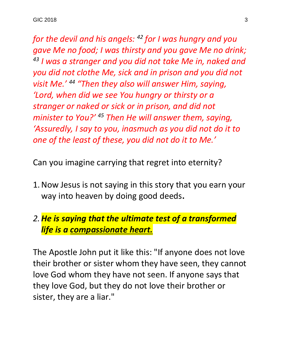*for the devil and his angels: <sup>42</sup> for I was hungry and you gave Me no food; I was thirsty and you gave Me no drink; <sup>43</sup> I was a stranger and you did not take Me in, naked and you did not clothe Me, sick and in prison and you did not visit Me.' <sup>44</sup> "Then they also will answer Him, saying, 'Lord, when did we see You hungry or thirsty or a stranger or naked or sick or in prison, and did not minister to You?' <sup>45</sup> Then He will answer them, saying, 'Assuredly, I say to you, inasmuch as you did not do it to one of the least of these, you did not do it to Me.'* 

Can you imagine carrying that regret into eternity?

1.Now Jesus is not saying in this story that you earn your way into heaven by doing good deeds**.**

#### *2.He is saying that the ultimate test of a transformed life is a compassionate heart.*

The Apostle John put it like this: "If anyone does not love their brother or sister whom they have seen, they cannot love God whom they have not seen. If anyone says that they love God, but they do not love their brother or sister, they are a liar."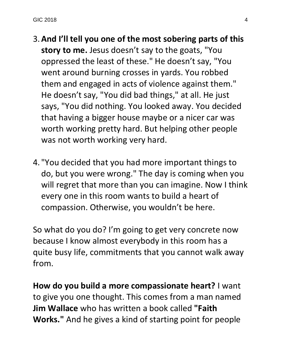- 3.**And I'll tell you one of the most sobering parts of this story to me.** Jesus doesn't say to the goats, "You oppressed the least of these." He doesn't say, "You went around burning crosses in yards. You robbed them and engaged in acts of violence against them." He doesn't say, "You did bad things," at all. He just says, "You did nothing. You looked away. You decided that having a bigger house maybe or a nicer car was worth working pretty hard. But helping other people was not worth working very hard.
- 4. "You decided that you had more important things to do, but you were wrong." The day is coming when you will regret that more than you can imagine. Now I think every one in this room wants to build a heart of compassion. Otherwise, you wouldn't be here.

So what do you do? I'm going to get very concrete now because I know almost everybody in this room has a quite busy life, commitments that you cannot walk away from.

**How do you build a more compassionate heart?** I want to give you one thought. This comes from a man named **Jim Wallace** who has written a book called **"Faith Works."** And he gives a kind of starting point for people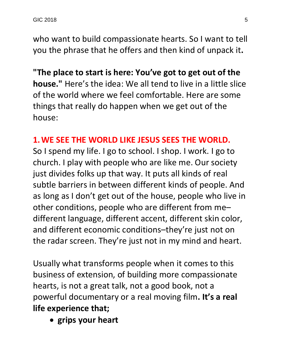who want to build compassionate hearts. So I want to tell you the phrase that he offers and then kind of unpack it**.** 

**"The place to start is here: You've got to get out of the house."** Here's the idea: We all tend to live in a little slice of the world where we feel comfortable. Here are some things that really do happen when we get out of the house:

#### **1.WE SEE THE WORLD LIKE JESUS SEES THE WORLD.**

So I spend my life. I go to school. I shop. I work. I go to church. I play with people who are like me. Our society just divides folks up that way. It puts all kinds of real subtle barriers in between different kinds of people. And as long as I don't get out of the house, people who live in other conditions, people who are different from me– different language, different accent, different skin color, and different economic conditions–they're just not on the radar screen. They're just not in my mind and heart.

Usually what transforms people when it comes to this business of extension, of building more compassionate hearts, is not a great talk, not a good book, not a powerful documentary or a real moving film**. It's a real life experience that;** 

• **grips your heart**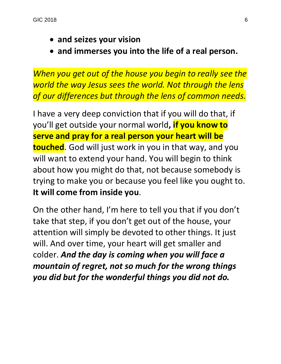- **and seizes your vision**
- **and immerses you into the life of a real person.**

*When you get out of the house you begin to really see the world the way Jesus sees the world. Not through the lens of our differences but through the lens of common needs.*

I have a very deep conviction that if you will do that, if you'll get outside your normal world**, if you know to serve and pray for a real person your heart will be touched**. God will just work in you in that way, and you will want to extend your hand. You will begin to think about how you might do that, not because somebody is trying to make you or because you feel like you ought to. **It will come from inside you**.

On the other hand, I'm here to tell you that if you don't take that step, if you don't get out of the house, your attention will simply be devoted to other things. It just will. And over time, your heart will get smaller and colder. *And the day is coming when you will face a mountain of regret, not so much for the wrong things you did but for the wonderful things you did not do.*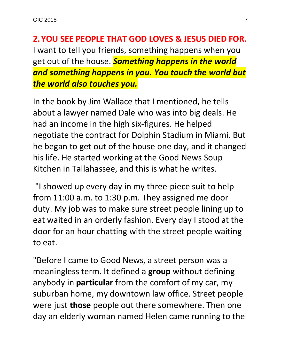GIC 2018 **7** 

**2.YOU SEE PEOPLE THAT GOD LOVES & JESUS DIED FOR.** I want to tell you friends, something happens when you get out of the house. *Something happens in the world and something happens in you. You touch the world but the world also touches you.*

In the book by Jim Wallace that I mentioned, he tells about a lawyer named Dale who was into big deals. He had an income in the high six-figures. He helped negotiate the contract for Dolphin Stadium in Miami. But he began to get out of the house one day, and it changed his life. He started working at the Good News Soup Kitchen in Tallahassee, and this is what he writes.

"I showed up every day in my three-piece suit to help from 11:00 a.m. to 1:30 p.m. They assigned me door duty. My job was to make sure street people lining up to eat waited in an orderly fashion. Every day I stood at the door for an hour chatting with the street people waiting to eat.

"Before I came to Good News, a street person was a meaningless term. It defined a **group** without defining anybody in **particular** from the comfort of my car, my suburban home, my downtown law office. Street people were just **those** people out there somewhere. Then one day an elderly woman named Helen came running to the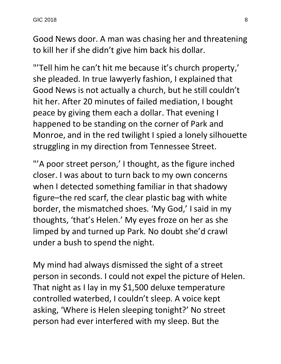Good News door. A man was chasing her and threatening to kill her if she didn't give him back his dollar.

"'Tell him he can't hit me because it's church property,' she pleaded. In true lawyerly fashion, I explained that Good News is not actually a church, but he still couldn't hit her. After 20 minutes of failed mediation, I bought peace by giving them each a dollar. That evening I happened to be standing on the corner of Park and Monroe, and in the red twilight I spied a lonely silhouette struggling in my direction from Tennessee Street.

"'A poor street person,' I thought, as the figure inched closer. I was about to turn back to my own concerns when I detected something familiar in that shadowy figure–the red scarf, the clear plastic bag with white border, the mismatched shoes. 'My God,' I said in my thoughts, 'that's Helen.' My eyes froze on her as she limped by and turned up Park. No doubt she'd crawl under a bush to spend the night.

My mind had always dismissed the sight of a street person in seconds. I could not expel the picture of Helen. That night as I lay in my \$1,500 deluxe temperature controlled waterbed, I couldn't sleep. A voice kept asking, 'Where is Helen sleeping tonight?' No street person had ever interfered with my sleep. But the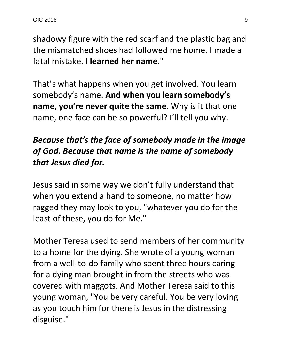shadowy figure with the red scarf and the plastic bag and the mismatched shoes had followed me home. I made a fatal mistake. **I learned her name**."

That's what happens when you get involved. You learn somebody's name. **And when you learn somebody's name, you're never quite the same.** Why is it that one name, one face can be so powerful? I'll tell you why.

### *Because that's the face of somebody made in the image of God. Because that name is the name of somebody that Jesus died for.*

Jesus said in some way we don't fully understand that when you extend a hand to someone, no matter how ragged they may look to you, "whatever you do for the least of these, you do for Me."

Mother Teresa used to send members of her community to a home for the dying. She wrote of a young woman from a well-to-do family who spent three hours caring for a dying man brought in from the streets who was covered with maggots. And Mother Teresa said to this young woman, "You be very careful. You be very loving as you touch him for there is Jesus in the distressing disguise."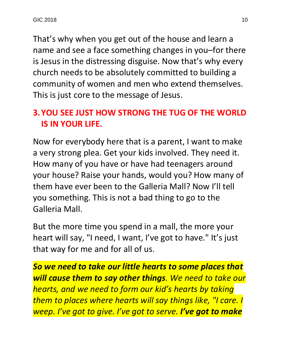That's why when you get out of the house and learn a name and see a face something changes in you–for there is Jesus in the distressing disguise. Now that's why every church needs to be absolutely committed to building a community of women and men who extend themselves. This is just core to the message of Jesus.

## **3.YOU SEE JUST HOW STRONG THE TUG OF THE WORLD IS IN YOUR LIFE.**

Now for everybody here that is a parent, I want to make a very strong plea. Get your kids involved. They need it. How many of you have or have had teenagers around your house? Raise your hands, would you? How many of them have ever been to the Galleria Mall? Now I'll tell you something. This is not a bad thing to go to the Galleria Mall.

But the more time you spend in a mall, the more your heart will say, "I need, I want, I've got to have." It's just that way for me and for all of us.

*So we need to take our little hearts to some places that will cause them to say other things. We need to take our hearts, and we need to form our kid's hearts by taking them to places where hearts will say things like, "I care. I weep. I've got to give. I've got to serve. I've got to make*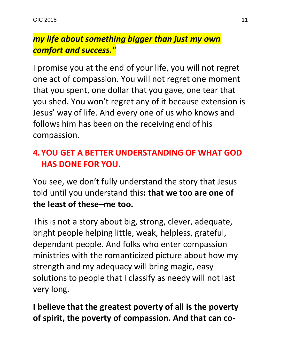## *my life about something bigger than just my own comfort and success."*

I promise you at the end of your life, you will not regret one act of compassion. You will not regret one moment that you spent, one dollar that you gave, one tear that you shed. You won't regret any of it because extension is Jesus' way of life. And every one of us who knows and follows him has been on the receiving end of his compassion.

### **4.YOU GET A BETTER UNDERSTANDING OF WHAT GOD HAS DONE FOR YOU.**

You see, we don't fully understand the story that Jesus told until you understand this**: that we too are one of the least of these–me too.**

This is not a story about big, strong, clever, adequate, bright people helping little, weak, helpless, grateful, dependant people. And folks who enter compassion ministries with the romanticized picture about how my strength and my adequacy will bring magic, easy solutions to people that I classify as needy will not last very long.

**I believe that the greatest poverty of all is the poverty of spirit, the poverty of compassion. And that can co-**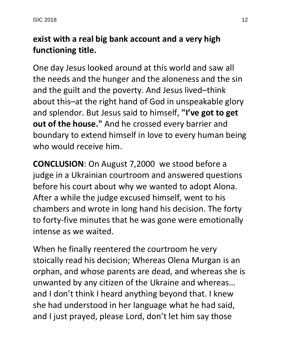## **exist with a real big bank account and a very high functioning title.**

One day Jesus looked around at this world and saw all the needs and the hunger and the aloneness and the sin and the guilt and the poverty. And Jesus lived–think about this–at the right hand of God in unspeakable glory and splendor. But Jesus said to himself, **"I've got to get out of the house."** And he crossed every barrier and boundary to extend himself in love to every human being who would receive him.

**CONCLUSION**: On August 7,2000 we stood before a judge in a Ukrainian courtroom and answered questions before his court about why we wanted to adopt Alona. After a while the judge excused himself, went to his chambers and wrote in long hand his decision. The forty to forty-five minutes that he was gone were emotionally intense as we waited.

When he finally reentered the courtroom he very stoically read his decision; Whereas Olena Murgan is an orphan, and whose parents are dead, and whereas she is unwanted by any citizen of the Ukraine and whereas… and I don't think I heard anything beyond that. I knew she had understood in her language what he had said, and I just prayed, please Lord, don't let him say those